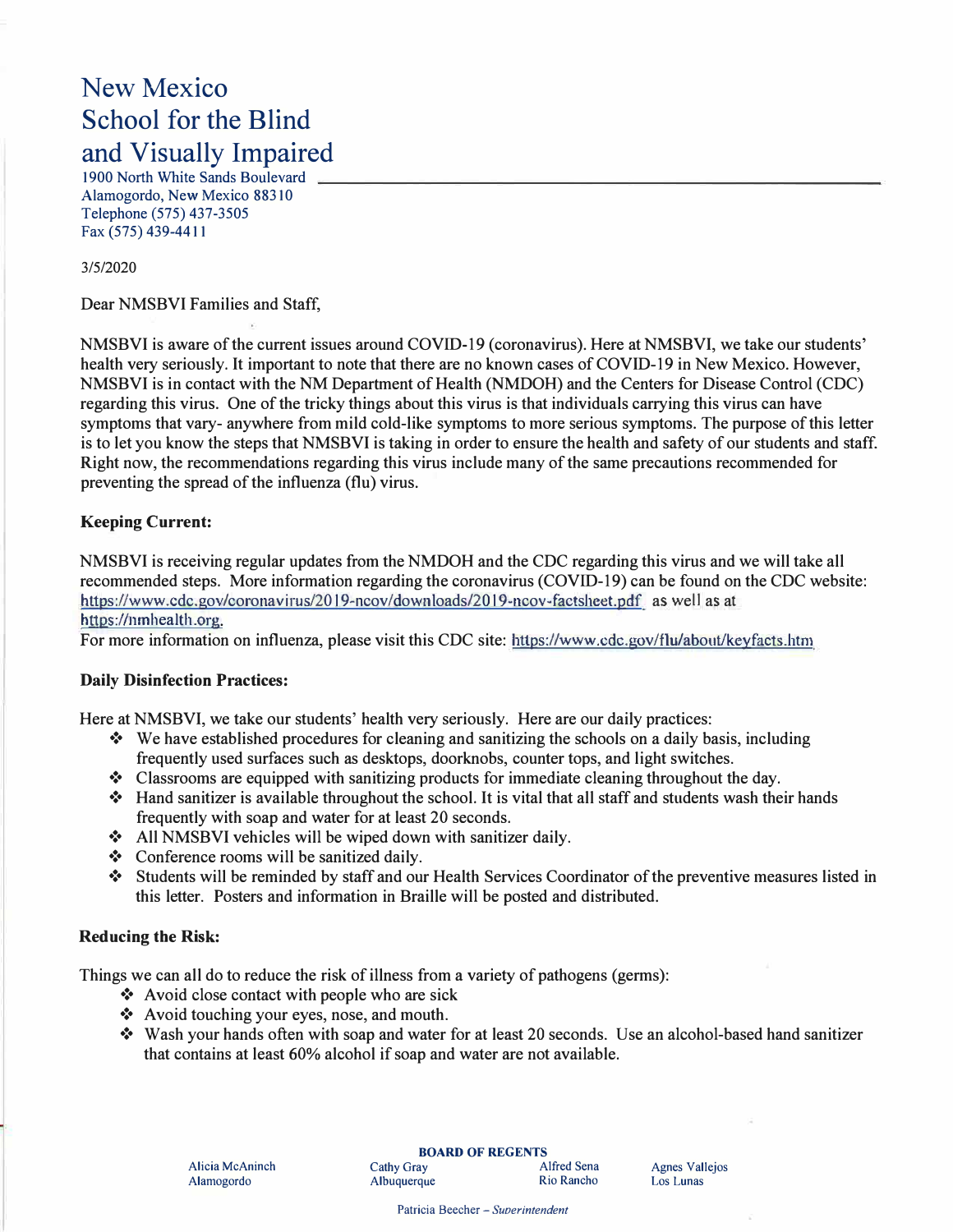# New Mexico School for the Blind and Visually Impaired

1900 North White Sands Boulevard Alamogordo, New Mexico 88310 Telephone (575) 437-3505 Fax (575) 439-4411

#### 3/5/2020

Dear NMSBVI Families and Staff,

NMSBVI is aware of the current issues around COVID-19 (coronavirus). Here at NMSBVI, we take our students' health very seriously. It important to note that there are no known cases of COVID-19 in New Mexico. However, NMSBVI is in contact with the NM Department of Health (NMDOH) and the Centers for Disease Control (CDC) regarding this virus. One of the tricky things about this virus is that individuals carrying this virus can have symptoms that vary- anywhere from mild cold-like symptoms to more serious symptoms. The purpose of this letter is to let you know the steps that NMSBVI is taking in order to ensure the health and safety of our students and staff. Right now, the recommendations regarding this virus include many of the same precautions recommended for preventing the spread of the influenza (flu) virus.

## **Keeping Current:**

NMSBVI is receiving regular updates from the NMDOH and the CDC regarding this virus and we will take all recommended steps. More information regarding the coronavirus (COVID-19) can be found on the CDC website: https://www.cdc.gov/coronavirus/20J9-ncov/downloads/2019-ncov-factsheet.pdf as we!J as at https://nmhealth.org.

For more information on influenza, please visit this CDC site: https://www.edc.gov/flu/about/keyfacts.htm

## **Daily Disinfection Practices:**

Here at NMSBVI, we take our students' health very seriously. Here are our daily practices:

- ❖ We have established procedures for cleaning and sanitizing the schools on a daily basis, including frequently used surfaces such as desktops, doorknobs, counter tops, and light switches.
- ❖ Classrooms are equipped with sanitizing products for immediate cleaning throughout the day.
- ❖ Hand sanitizer is available throughout the school. It is vital that all staff and students wash their hands frequently with soap and water for at least 20 seconds.
- ❖ All NMSBVI vehicles will be wiped down with sanitizer daily.
- ❖ Conference rooms will be sanitized daily.
- ❖ Students will be reminded by staff and our Health Services Coordinator of the preventive measures listed in this letter. Posters and information in Braille will be posted and distributed.

## **Reducing the Risk:**

Things we can all do to reduce the risk of illness from a variety of pathogens (germs):

- ❖ Avoid close contact with people who are sick
- ❖ A void touching your eyes, nose, and mouth.
- ❖ Wash your hands often with soap and water for at least 20 seconds. Use an alcohol-based hand sanitizer that contains at least 60% alcohol if soap and water are not available.

Patricia Beecher - *Suoerintendent*

Agnes Vallejos Los Lunas